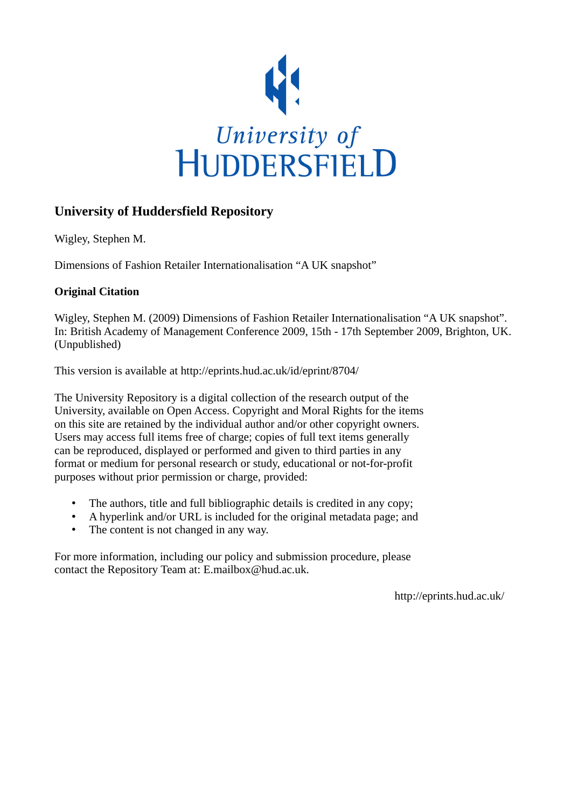

## **University of Huddersfield Repository**

Wigley, Stephen M.

Dimensions of Fashion Retailer Internationalisation "A UK snapshot"

## **Original Citation**

Wigley, Stephen M. (2009) Dimensions of Fashion Retailer Internationalisation "A UK snapshot". In: British Academy of Management Conference 2009, 15th - 17th September 2009, Brighton, UK. (Unpublished)

This version is available at http://eprints.hud.ac.uk/id/eprint/8704/

The University Repository is a digital collection of the research output of the University, available on Open Access. Copyright and Moral Rights for the items on this site are retained by the individual author and/or other copyright owners. Users may access full items free of charge; copies of full text items generally can be reproduced, displayed or performed and given to third parties in any format or medium for personal research or study, educational or not-for-profit purposes without prior permission or charge, provided:

- The authors, title and full bibliographic details is credited in any copy;
- A hyperlink and/or URL is included for the original metadata page; and
- The content is not changed in any way.

For more information, including our policy and submission procedure, please contact the Repository Team at: E.mailbox@hud.ac.uk.

http://eprints.hud.ac.uk/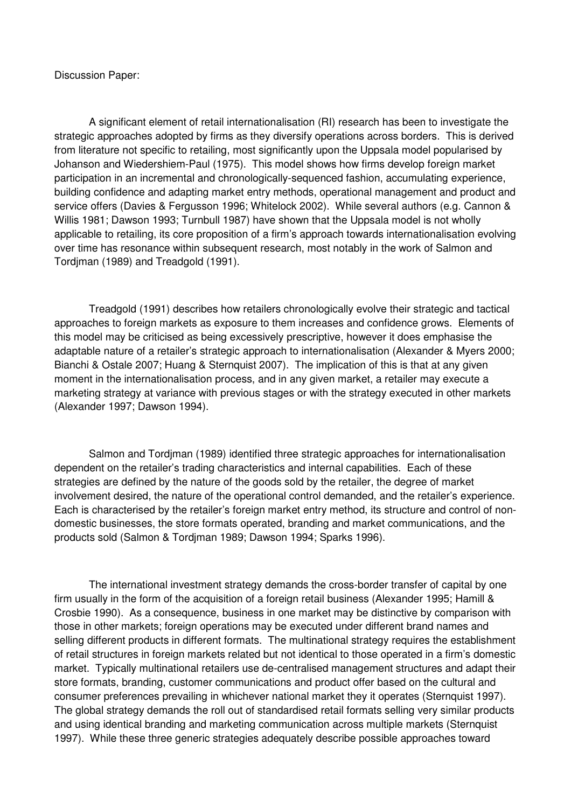Discussion Paper:

 A significant element of retail internationalisation (RI) research has been to investigate the strategic approaches adopted by firms as they diversify operations across borders. This is derived from literature not specific to retailing, most significantly upon the Uppsala model popularised by Johanson and Wiedershiem-Paul (1975). This model shows how firms develop foreign market participation in an incremental and chronologically-sequenced fashion, accumulating experience, building confidence and adapting market entry methods, operational management and product and service offers (Davies & Fergusson 1996; Whitelock 2002). While several authors (e.g. Cannon & Willis 1981; Dawson 1993; Turnbull 1987) have shown that the Uppsala model is not wholly applicable to retailing, its core proposition of a firm's approach towards internationalisation evolving over time has resonance within subsequent research, most notably in the work of Salmon and Tordjman (1989) and Treadgold (1991).

 Treadgold (1991) describes how retailers chronologically evolve their strategic and tactical approaches to foreign markets as exposure to them increases and confidence grows. Elements of this model may be criticised as being excessively prescriptive, however it does emphasise the adaptable nature of a retailer's strategic approach to internationalisation (Alexander & Myers 2000; Bianchi & Ostale 2007; Huang & Sternquist 2007). The implication of this is that at any given moment in the internationalisation process, and in any given market, a retailer may execute a marketing strategy at variance with previous stages or with the strategy executed in other markets (Alexander 1997; Dawson 1994).

 Salmon and Tordjman (1989) identified three strategic approaches for internationalisation dependent on the retailer's trading characteristics and internal capabilities. Each of these strategies are defined by the nature of the goods sold by the retailer, the degree of market involvement desired, the nature of the operational control demanded, and the retailer's experience. Each is characterised by the retailer's foreign market entry method, its structure and control of nondomestic businesses, the store formats operated, branding and market communications, and the products sold (Salmon & Tordjman 1989; Dawson 1994; Sparks 1996).

 The international investment strategy demands the cross-border transfer of capital by one firm usually in the form of the acquisition of a foreign retail business (Alexander 1995; Hamill & Crosbie 1990). As a consequence, business in one market may be distinctive by comparison with those in other markets; foreign operations may be executed under different brand names and selling different products in different formats. The multinational strategy requires the establishment of retail structures in foreign markets related but not identical to those operated in a firm's domestic market. Typically multinational retailers use de-centralised management structures and adapt their store formats, branding, customer communications and product offer based on the cultural and consumer preferences prevailing in whichever national market they it operates (Sternquist 1997). The global strategy demands the roll out of standardised retail formats selling very similar products and using identical branding and marketing communication across multiple markets (Sternquist 1997). While these three generic strategies adequately describe possible approaches toward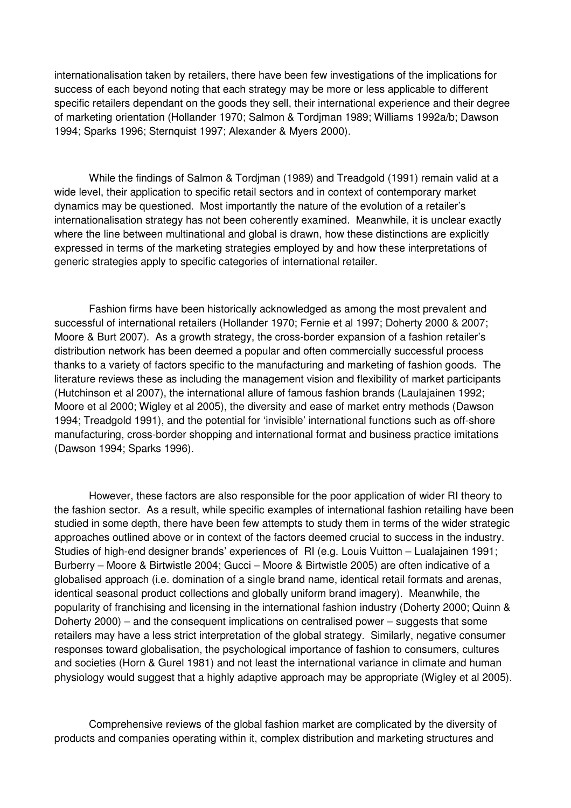internationalisation taken by retailers, there have been few investigations of the implications for success of each beyond noting that each strategy may be more or less applicable to different specific retailers dependant on the goods they sell, their international experience and their degree of marketing orientation (Hollander 1970; Salmon & Tordjman 1989; Williams 1992a/b; Dawson 1994; Sparks 1996; Sternquist 1997; Alexander & Myers 2000).

 While the findings of Salmon & Tordjman (1989) and Treadgold (1991) remain valid at a wide level, their application to specific retail sectors and in context of contemporary market dynamics may be questioned. Most importantly the nature of the evolution of a retailer's internationalisation strategy has not been coherently examined. Meanwhile, it is unclear exactly where the line between multinational and global is drawn, how these distinctions are explicitly expressed in terms of the marketing strategies employed by and how these interpretations of generic strategies apply to specific categories of international retailer.

 Fashion firms have been historically acknowledged as among the most prevalent and successful of international retailers (Hollander 1970; Fernie et al 1997; Doherty 2000 & 2007; Moore & Burt 2007). As a growth strategy, the cross-border expansion of a fashion retailer's distribution network has been deemed a popular and often commercially successful process thanks to a variety of factors specific to the manufacturing and marketing of fashion goods. The literature reviews these as including the management vision and flexibility of market participants (Hutchinson et al 2007), the international allure of famous fashion brands (Laulajainen 1992; Moore et al 2000; Wigley et al 2005), the diversity and ease of market entry methods (Dawson 1994; Treadgold 1991), and the potential for 'invisible' international functions such as off-shore manufacturing, cross-border shopping and international format and business practice imitations (Dawson 1994; Sparks 1996).

 However, these factors are also responsible for the poor application of wider RI theory to the fashion sector. As a result, while specific examples of international fashion retailing have been studied in some depth, there have been few attempts to study them in terms of the wider strategic approaches outlined above or in context of the factors deemed crucial to success in the industry. Studies of high-end designer brands' experiences of RI (e.g. Louis Vuitton – Lualajainen 1991; Burberry – Moore & Birtwistle 2004; Gucci – Moore & Birtwistle 2005) are often indicative of a globalised approach (i.e. domination of a single brand name, identical retail formats and arenas, identical seasonal product collections and globally uniform brand imagery). Meanwhile, the popularity of franchising and licensing in the international fashion industry (Doherty 2000; Quinn & Doherty 2000) – and the consequent implications on centralised power – suggests that some retailers may have a less strict interpretation of the global strategy. Similarly, negative consumer responses toward globalisation, the psychological importance of fashion to consumers, cultures and societies (Horn & Gurel 1981) and not least the international variance in climate and human physiology would suggest that a highly adaptive approach may be appropriate (Wigley et al 2005).

 Comprehensive reviews of the global fashion market are complicated by the diversity of products and companies operating within it, complex distribution and marketing structures and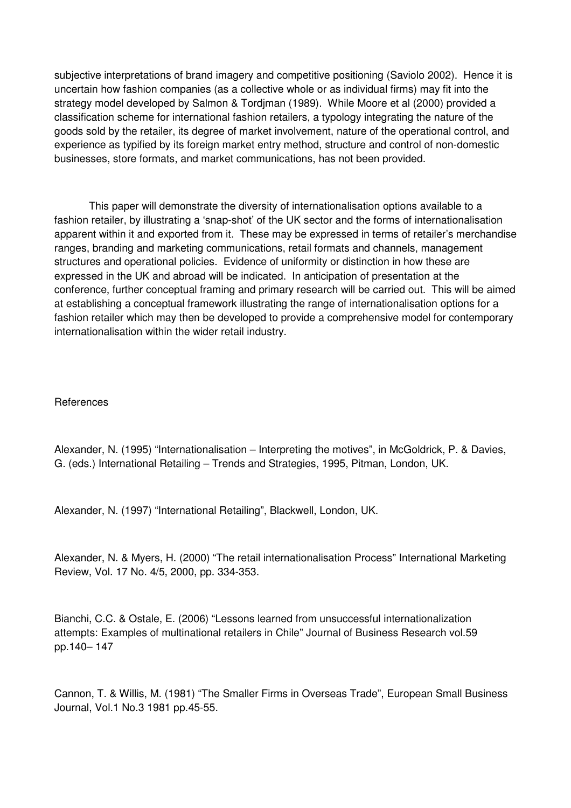subjective interpretations of brand imagery and competitive positioning (Saviolo 2002). Hence it is uncertain how fashion companies (as a collective whole or as individual firms) may fit into the strategy model developed by Salmon & Tordjman (1989). While Moore et al (2000) provided a classification scheme for international fashion retailers, a typology integrating the nature of the goods sold by the retailer, its degree of market involvement, nature of the operational control, and experience as typified by its foreign market entry method, structure and control of non-domestic businesses, store formats, and market communications, has not been provided.

 This paper will demonstrate the diversity of internationalisation options available to a fashion retailer, by illustrating a 'snap-shot' of the UK sector and the forms of internationalisation apparent within it and exported from it. These may be expressed in terms of retailer's merchandise ranges, branding and marketing communications, retail formats and channels, management structures and operational policies. Evidence of uniformity or distinction in how these are expressed in the UK and abroad will be indicated. In anticipation of presentation at the conference, further conceptual framing and primary research will be carried out. This will be aimed at establishing a conceptual framework illustrating the range of internationalisation options for a fashion retailer which may then be developed to provide a comprehensive model for contemporary internationalisation within the wider retail industry.

## References

Alexander, N. (1995) "Internationalisation – Interpreting the motives", in McGoldrick, P. & Davies, G. (eds.) International Retailing – Trends and Strategies, 1995, Pitman, London, UK.

Alexander, N. (1997) "International Retailing", Blackwell, London, UK.

Alexander, N. & Myers, H. (2000) "The retail internationalisation Process" International Marketing Review, Vol. 17 No. 4/5, 2000, pp. 334-353.

Bianchi, C.C. & Ostale, E. (2006) "Lessons learned from unsuccessful internationalization attempts: Examples of multinational retailers in Chile" Journal of Business Research vol.59 pp.140– 147

Cannon, T. & Willis, M. (1981) "The Smaller Firms in Overseas Trade", European Small Business Journal, Vol.1 No.3 1981 pp.45-55.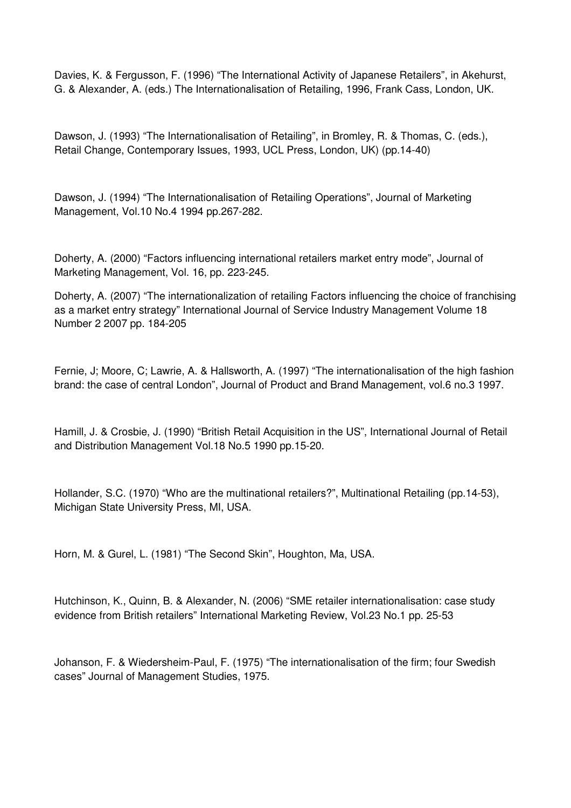Davies, K. & Fergusson, F. (1996) "The International Activity of Japanese Retailers", in Akehurst, G. & Alexander, A. (eds.) The Internationalisation of Retailing, 1996, Frank Cass, London, UK.

Dawson, J. (1993) "The Internationalisation of Retailing", in Bromley, R. & Thomas, C. (eds.), Retail Change, Contemporary Issues, 1993, UCL Press, London, UK) (pp.14-40)

Dawson, J. (1994) "The Internationalisation of Retailing Operations", Journal of Marketing Management, Vol.10 No.4 1994 pp.267-282.

Doherty, A. (2000) "Factors influencing international retailers market entry mode", Journal of Marketing Management, Vol. 16, pp. 223-245.

Doherty, A. (2007) "The internationalization of retailing Factors influencing the choice of franchising as a market entry strategy" International Journal of Service Industry Management Volume 18 Number 2 2007 pp. 184-205

Fernie, J; Moore, C; Lawrie, A. & Hallsworth, A. (1997) "The internationalisation of the high fashion brand: the case of central London", Journal of Product and Brand Management, vol.6 no.3 1997.

Hamill, J. & Crosbie, J. (1990) "British Retail Acquisition in the US", International Journal of Retail and Distribution Management Vol.18 No.5 1990 pp.15-20.

Hollander, S.C. (1970) "Who are the multinational retailers?", Multinational Retailing (pp.14-53), Michigan State University Press, MI, USA.

Horn, M. & Gurel, L. (1981) "The Second Skin", Houghton, Ma, USA.

Hutchinson, K., Quinn, B. & Alexander, N. (2006) "SME retailer internationalisation: case study evidence from British retailers" International Marketing Review, Vol.23 No.1 pp. 25-53

Johanson, F. & Wiedersheim-Paul, F. (1975) "The internationalisation of the firm; four Swedish cases" Journal of Management Studies, 1975.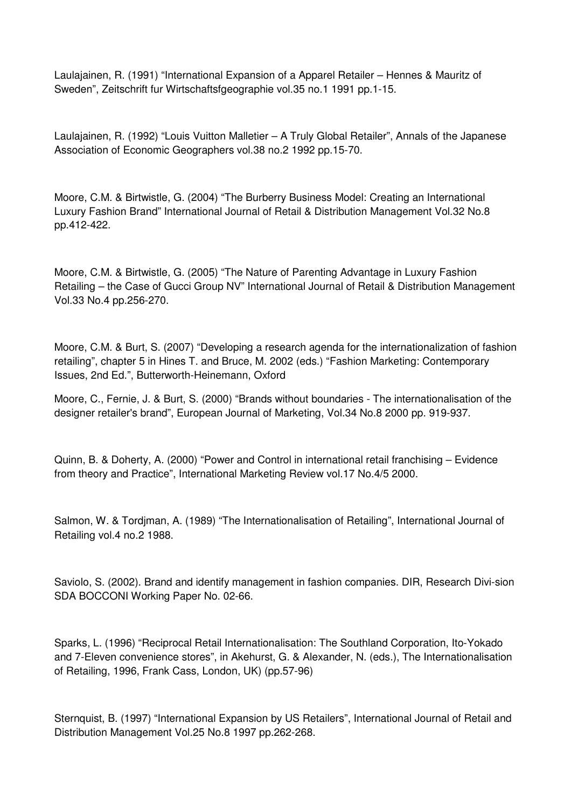Laulajainen, R. (1991) "International Expansion of a Apparel Retailer – Hennes & Mauritz of Sweden", Zeitschrift fur Wirtschaftsfgeographie vol.35 no.1 1991 pp.1-15.

Laulajainen, R. (1992) "Louis Vuitton Malletier – A Truly Global Retailer", Annals of the Japanese Association of Economic Geographers vol.38 no.2 1992 pp.15-70.

Moore, C.M. & Birtwistle, G. (2004) "The Burberry Business Model: Creating an International Luxury Fashion Brand" International Journal of Retail & Distribution Management Vol.32 No.8 pp.412-422.

Moore, C.M. & Birtwistle, G. (2005) "The Nature of Parenting Advantage in Luxury Fashion Retailing – the Case of Gucci Group NV" International Journal of Retail & Distribution Management Vol.33 No.4 pp.256-270.

Moore, C.M. & Burt, S. (2007) "Developing a research agenda for the internationalization of fashion retailing", chapter 5 in Hines T. and Bruce, M. 2002 (eds.) "Fashion Marketing: Contemporary Issues, 2nd Ed.", Butterworth-Heinemann, Oxford

Moore, C., Fernie, J. & Burt, S. (2000) "Brands without boundaries - The internationalisation of the designer retailer's brand", European Journal of Marketing, Vol.34 No.8 2000 pp. 919-937.

Quinn, B. & Doherty, A. (2000) "Power and Control in international retail franchising – Evidence from theory and Practice", International Marketing Review vol.17 No.4/5 2000.

Salmon, W. & Tordjman, A. (1989) "The Internationalisation of Retailing", International Journal of Retailing vol.4 no.2 1988.

Saviolo, S. (2002). Brand and identify management in fashion companies. DIR, Research Divi-sion SDA BOCCONI Working Paper No. 02-66.

Sparks, L. (1996) "Reciprocal Retail Internationalisation: The Southland Corporation, Ito-Yokado and 7-Eleven convenience stores", in Akehurst, G. & Alexander, N. (eds.), The Internationalisation of Retailing, 1996, Frank Cass, London, UK) (pp.57-96)

Sternquist, B. (1997) "International Expansion by US Retailers", International Journal of Retail and Distribution Management Vol.25 No.8 1997 pp.262-268.